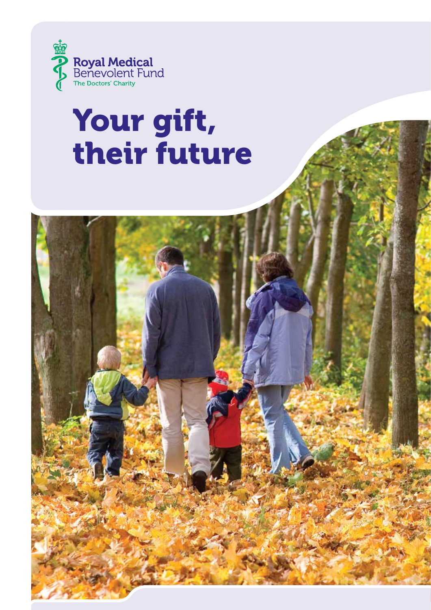

# Your gift, their future

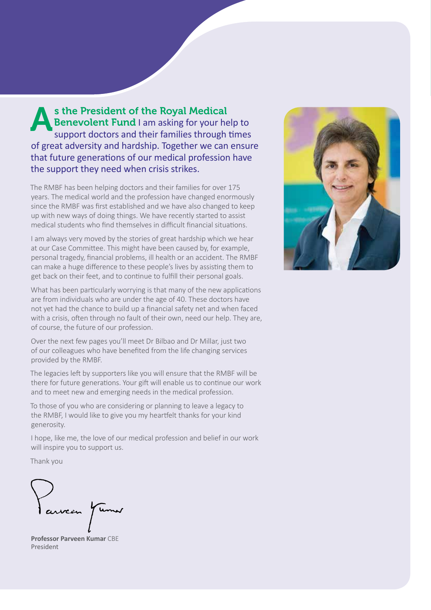s the President of the Royal Medical<br>Benevolent Fund I am asking for your he<br>support doctors and their families through Benevolent Fund I am asking for your help to support doctors and their families through times of great adversity and hardship. Together we can ensure that future generations of our medical profession have the support they need when crisis strikes.

The RMBF has been helping doctors and their families for over 175 years. The medical world and the profession have changed enormously since the RMBF was first established and we have also changed to keep up with new ways of doing things. We have recently started to assist medical students who find themselves in difficult financial situations.

I am always very moved by the stories of great hardship which we hear at our Case Committee. This might have been caused by, for example, personal tragedy, financial problems, ill health or an accident. The RMBF can make a huge difference to these people's lives by assisting them to get back on their feet, and to continue to fulfill their personal goals.

What has been particularly worrying is that many of the new applications are from individuals who are under the age of 40. These doctors have not yet had the chance to build up a financial safety net and when faced with a crisis, often through no fault of their own, need our help. They are, of course, the future of our profession.

Over the next few pages you'll meet Dr Bilbao and Dr Millar, just two of our colleagues who have benefited from the life changing services provided by the RMBF.

The legacies left by supporters like you will ensure that the RMBF will be there for future generations. Your gift will enable us to continue our work and to meet new and emerging needs in the medical profession.

To those of you who are considering or planning to leave a legacy to the RMBF, I would like to give you my heartfelt thanks for your kind generosity.

I hope, like me, the love of our medical profession and belief in our work will inspire you to support us.

Thank you

**Professor Parveen Kumar** CBE President

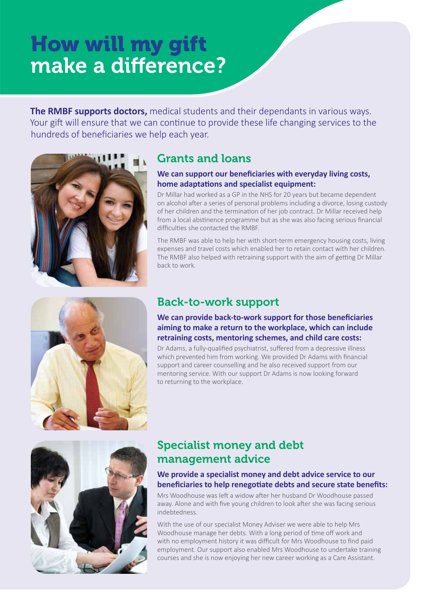## How will my gift make a difference?

**The RMBF supports doctors,** medical students and their dependants in various ways. Your gift will ensure that we can continue to provide these life changing services to the hundreds of beneficiaries we help each year.





### Grants and loans

#### **We can support our beneficiaries with everyday living costs, home adaptations and specialist equipment:**

Dr Millar had worked as a GP in the NHS for 20 years but became dependent on alcohol after a series of personal problems including a divorce, losing custody of her children and the termination of her job contract. Dr Millar received help from a local abstinence programme but as she was also facing serious financial difficulties she contacted the RMBF.

The RMBF was able to help her with short-term emergency housing costs, living expenses and travel costs which enabled her to retain contact with her children. The RMBF also helped with retraining support with the aim of getting Dr Millar back to work.

### Back-to-work support

#### **We can provide back-to-work support for those beneficiaries aiming to make a return to the workplace, which can include retraining costs, mentoring schemes, and child care costs:**

Dr Adams, a fully-qualified psychiatrist, suffered from a depressive illness which prevented him from working. We provided Dr Adams with financial support and career counselling and he also received support from our mentoring service. With our support Dr Adams is now looking forward to returning to the workplace.



## Specialist money and debt management advice

#### **We provide a specialist money and debt advice service to our beneficiaries to help renegotiate debts and secure state benefits:**

Mrs Woodhouse was left a widow after her husband Dr Woodhouse passed away. Alone and with five young children to look after she was facing serious indebtedness.

With the use of our specialist Money Adviser we were able to help Mrs Woodhouse manage her debts. With a long period of time off work and with no employment history it was difficult for Mrs Woodhouse to find paid employment. Our support also enabled Mrs Woodhouse to undertake training courses and she is now enjoying her new career working as a Care Assistant.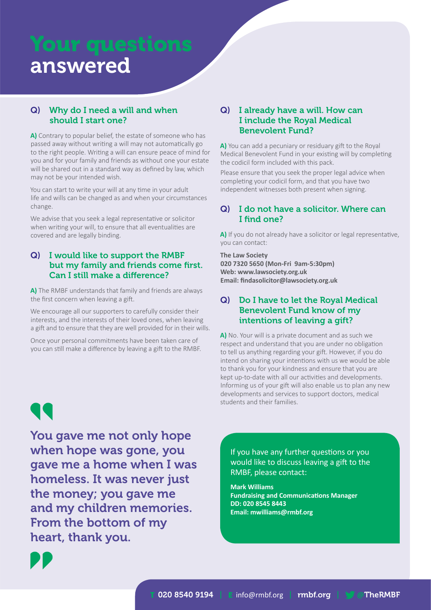## Your questions answered

#### Q) Why do I need a will and when should I start one?

**A)** Contrary to popular belief, the estate of someone who has passed away without writing a will may not automatically go to the right people. Writing a will can ensure peace of mind for you and for your family and friends as without one your estate will be shared out in a standard way as defined by law, which may not be your intended wish.

You can start to write your will at any time in your adult life and wills can be changed as and when your circumstances change.

We advise that you seek a legal representative or solicitor when writing your will, to ensure that all eventualities are covered and are legally binding.

#### Q) I would like to support the RMBF but my family and friends come first. Can I still make a difference?

**A)** The RMBF understands that family and friends are always the first concern when leaving a gift.

We encourage all our supporters to carefully consider their interests, and the interests of their loved ones, when leaving a gift and to ensure that they are well provided for in their wills.

Once your personal commitments have been taken care of you can still make a difference by leaving a gift to the RMBF.

#### Q) I already have a will. How can I include the Royal Medical Benevolent Fund?

**A)** You can add a pecuniary or residuary gift to the Royal Medical Benevolent Fund in your existing will by completing the codicil form included with this pack.

Please ensure that you seek the proper legal advice when completing your codicil form, and that you have two independent witnesses both present when signing.

#### Q) I do not have a solicitor. Where can I find one?

**A)** If you do not already have a solicitor or legal representative, you can contact:

#### **The Law Society 020 7320 5650 (Mon-Fri 9am-5:30pm) Web: www.lawsociety.org.uk Email: findasolicitor@lawsociety.org.uk**

#### Q) Do I have to let the Royal Medical Benevolent Fund know of my intentions of leaving a gift?

**A)** No. Your will is a private document and as such we respect and understand that you are under no obligation to tell us anything regarding your gift. However, if you do intend on sharing your intentions with us we would be able to thank you for your kindness and ensure that you are kept up-to-date with all our activities and developments. Informing us of your gift will also enable us to plan any new developments and services to support doctors, medical students and their families.

T

You gave me not only hope when hope was gone, you gave me a home when I was homeless. It was never just the money; you gave me and my children memories. From the bottom of my heart, thank you.

If you have any further questions or you would like to discuss leaving a gift to the RMBF, please contact:

**Mark Williams Fundraising and Communications Manager DD: 020 8545 8443 Email: mwilliams@rmbf.org**

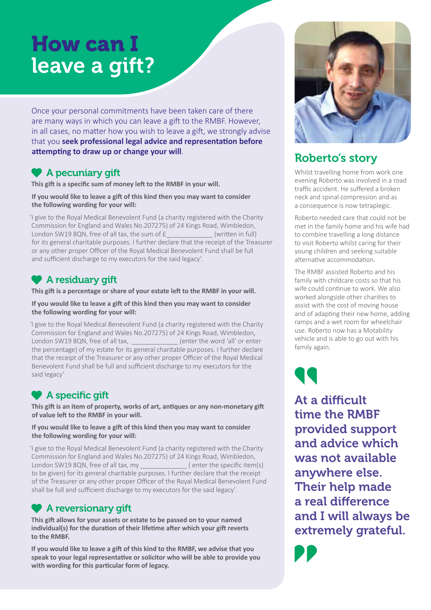## How can I leave a gift?

Once your personal commitments have been taken care of there are many ways in which you can leave a gift to the RMBF. However, in all cases, no matter how you wish to leave a gift, we strongly advise that you **seek professional legal advice and representation before attempting to draw up or change your will**.

## **A** pecuniary gift

**This gift is a specific sum of money left to the RMBF in your will.**

**If you would like to leave a gift of this kind then you may want to consider the following wording for your will:**

'I give to the Royal Medical Benevolent Fund (a charity registered with the Charity Commission for England and Wales No.207275) of 24 Kings Road, Wimbledon, London SW19 8QN, free of all tax, the sum of £ (written in full) for its general charitable purposes. I further declare that the receipt of the Treasurer or any other proper Officer of the Royal Medical Benevolent Fund shall be full and sufficient discharge to my executors for the said legacy'.

## **A** residuary gift

**This gift is a percentage or share of your estate left to the RMBF in your will.**

**If you would like to leave a gift of this kind then you may want to consider the following wording for your will:**

'I give to the Royal Medical Benevolent Fund (a charity registered with the Charity Commission for England and Wales No.207275) of 24 Kings Road, Wimbledon, London SW19 8QN, free of all tax, \_\_\_\_\_\_\_\_\_\_\_\_\_ (enter the word 'all' or enter the percentage) of my estate for its general charitable purposes. I further declare that the receipt of the Treasurer or any other proper Officer of the Royal Medical Benevolent Fund shall be full and sufficient discharge to my executors for the said legacy'

## A specific gift

**This gift is an item of property, works of art, antiques or any non-monetary gift of value left to the RMBF in your will.**

#### **If you would like to leave a gift of this kind then you may want to consider the following wording for your will:**

'I give to the Royal Medical Benevolent Fund (a charity registered with the Charity Commission for England and Wales No.207275) of 24 Kings Road, Wimbledon, London SW19 8QN, free of all tax, my  $($  enter the specific item(s) to be given) for its general charitable purposes. I further declare that the receipt of the Treasurer or any other proper Officer of the Royal Medical Benevolent Fund shall be full and sufficient discharge to my executors for the said legacy'.

## <sup>1</sup> A reversionary gift

**This gift allows for your assets or estate to be passed on to your named individual(s) for the duration of their lifetime after which your gift reverts to the RMBF.**

**If you would like to leave a gift of this kind to the RMBF, we advise that you speak to your legal representative or solicitor who will be able to provide you with wording for this particular form of legacy.**



## Roberto's story

Whilst travelling home from work one evening Roberto was involved in a road traffic accident. He suffered a broken neck and spinal compression and as a consequence is now tetraplegic.

Roberto needed care that could not be met in the family home and his wife had to combine travelling a long distance to visit Roberto whilst caring for their young children and seeking suitable alternative accommodation.

The RMBF assisted Roberto and his family with childcare costs so that his wife could continue to work. We also worked alongside other charities to assist with the cost of moving house and of adapting their new home, adding ramps and a wet room for wheelchair use. Roberto now has a Motability vehicle and is able to go out with his family again.

At a difficult time the RMBF provided support and advice which was not available anywhere else. Their help made a real difference and I will always be extremely grateful.